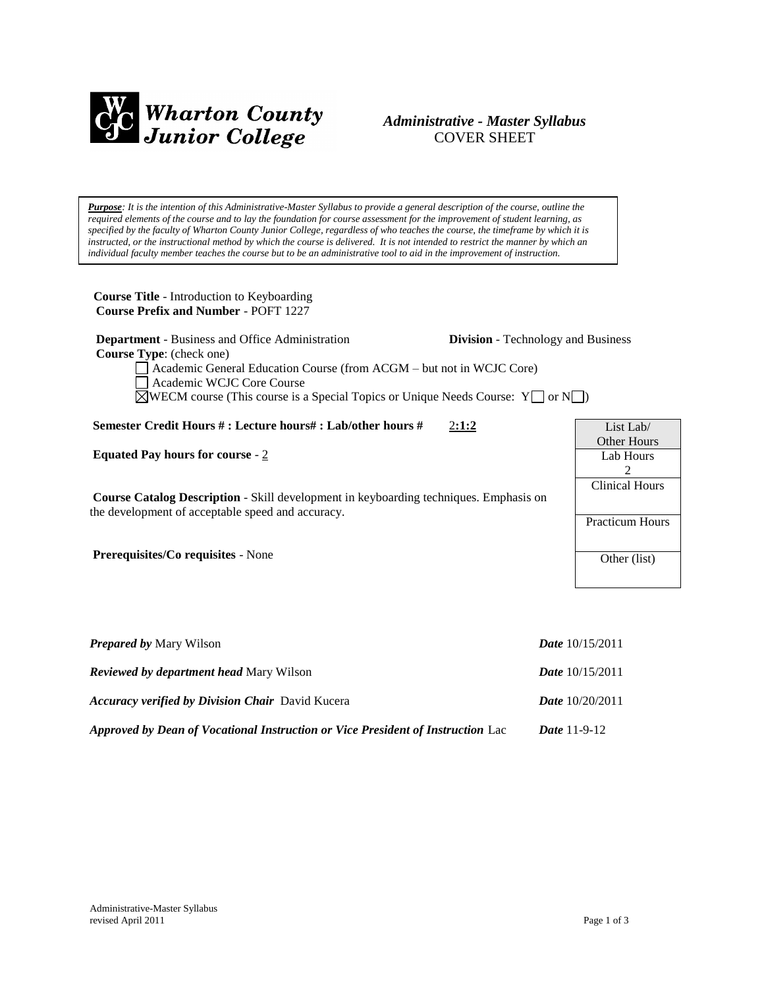

# *Administrative - Master Syllabus*  COVER SHEET

*Purpose: It is the intention of this Administrative-Master Syllabus to provide a general description of the course, outline the required elements of the course and to lay the foundation for course assessment for the improvement of student learning, as specified by the faculty of Wharton County Junior College, regardless of who teaches the course, the timeframe by which it is instructed, or the instructional method by which the course is delivered. It is not intended to restrict the manner by which an individual faculty member teaches the course but to be an administrative tool to aid in the improvement of instruction.*

**Course Title** - Introduction to Keyboarding  **Course Prefix and Number** - POFT 1227

**Department** - Business and Office Administration **Division** - Technology and Business

List Lab/ Other Hours Lab Hours 2 Clinical Hours

Practicum Hours

Other (list)

 **Course Type**: (check one)

Academic General Education Course (from ACGM – but not in WCJC Core) Academic WCJC Core Course

 $\boxtimes$ WECM course (This course is a Special Topics or Unique Needs Course: Y  $\Box$  or N $\Box$ )

**Semester Credit Hours # : Lecture hours# : Lab/other hours #** 2**:1:2**

**Equated Pay hours for course** - 2

**Course Catalog Description** - Skill development in keyboarding techniques. Emphasis on the development of acceptable speed and accuracy.

**Prerequisites/Co requisites** - None

| <b>Prepared by Mary Wilson</b>                                                  | <i>Date</i> $10/15/2011$ |
|---------------------------------------------------------------------------------|--------------------------|
| <b>Reviewed by department head Mary Wilson</b>                                  | <i>Date</i> $10/15/2011$ |
| <b>Accuracy verified by Division Chair</b> David Kucera                         | <i>Date</i> $10/20/2011$ |
| Approved by Dean of Vocational Instruction or Vice President of Instruction Lac | <i>Date</i> $11-9-12$    |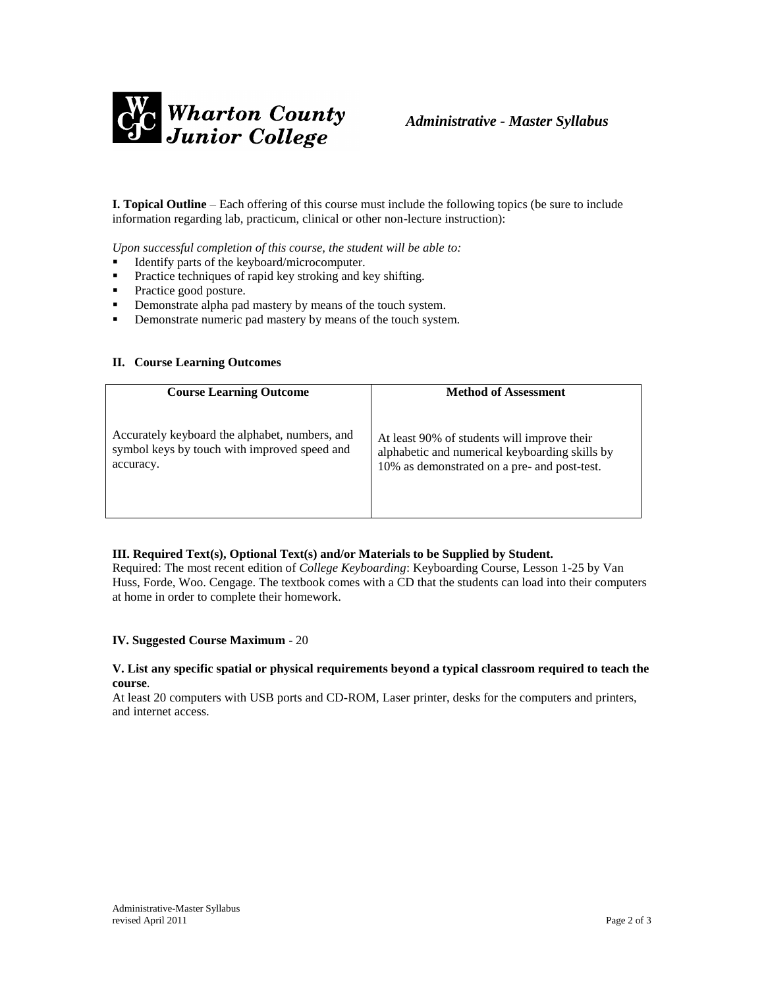

**I. Topical Outline** – Each offering of this course must include the following topics (be sure to include information regarding lab, practicum, clinical or other non-lecture instruction):

*Upon successful completion of this course, the student will be able to:*

- Identify parts of the keyboard/microcomputer.
- Practice techniques of rapid key stroking and key shifting.
- Practice good posture.
- **•** Demonstrate alpha pad mastery by means of the touch system.
- **•** Demonstrate numeric pad mastery by means of the touch system.

#### **II. Course Learning Outcomes**

| <b>Course Learning Outcome</b>                 | <b>Method of Assessment</b>                    |
|------------------------------------------------|------------------------------------------------|
| Accurately keyboard the alphabet, numbers, and | At least 90% of students will improve their    |
| symbol keys by touch with improved speed and   | alphabetic and numerical keyboarding skills by |
| accuracy.                                      | 10% as demonstrated on a pre- and post-test.   |

#### **III. Required Text(s), Optional Text(s) and/or Materials to be Supplied by Student.**

Required: The most recent edition of *College Keyboarding*: Keyboarding Course, Lesson 1-25 by Van Huss, Forde, Woo. Cengage. The textbook comes with a CD that the students can load into their computers at home in order to complete their homework.

#### **IV. Suggested Course Maximum** - 20

#### **V. List any specific spatial or physical requirements beyond a typical classroom required to teach the course**.

At least 20 computers with USB ports and CD-ROM, Laser printer, desks for the computers and printers, and internet access.